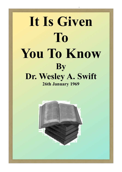# **It Is Given To You To Know By Dr. Wesley A. Swift 26th January 1969**

It is Given to You to Know - Wesley Swift

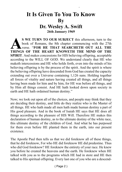#### **It Is Given To You To Know By Dr. Wesley A. Swift**

It is Given to You to Know - Wesley Swift

**26th January 1969**

S WE TURN TO OUR SUBJECT this afternoon, turn to the book of Romans, the 8th chapter commencing with the 27th verse. "FOR HE THAT SEARCHETH OUT ALL THE THINGS OF THE HEART KNOWETH THE MIND OF THE **S WE TURN TO OUR SUBJECT** this afternoon, turn to the book of Romans, the 8th chapter commencing with the 27th verse. "**FOR HE THAT SEARCHETH OUT ALL THE SPIRIT**. And makes concessions for HIS believing offspring, acceptable according to the WILL OF GOD. We understand clearly that HE who maketh intercessions and HE who holds forth, even into the minds of his believing offspring is by the process of the spirit. And the spirit is where the believing offspring have descended from God has created the capacity extending out over a Universe containing 1,126 suns. Holding together all forces of vitality and nature having created all things, and all things having been made for him and by him, for HE was before all things, and by Him all things consist. And HE hath looked down upon society in earth and HE hath ordained human destiny."

Now; we look out upon all of the choices, and people may think that they are deciding their destiny, and little do they realize who is the Master of all things. HE who hath made all men hath made human destiny a part of His good pleasure. And in the book of Isaiah HE says that HE does all things according to the pleasure of HIS Will. Therefore HE makes this declaration of human destiny, as to the ultimate destiny of the white race, this ultimate destiny of the children of God. And what he has purposed for them even before HE planted them in the earth, into our present existence.

The Apostle Paul then tells us that we did foreknow all of these things, that he did foreknow, For who HE did foreknow HE did predestine. Thus who did God foreknow? HE foreknew the entirety of your race. He knew you before he created the heavens and the earth. He foreknew when HE talked with you as to the programs which HE had in store and HE then talked to His spiritual offspring. Every last one of you who are a descend-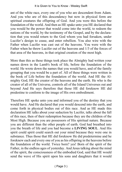ant of the white race, every one of you who are descendent from Adam. And you who are of this descendency but now in physical form are spiritual creatures the offspring of God. And you were this before the foundation of the world. And then as HE spake unto you HE declared that you would be the power that would come into the world, to redeem the nations of the world, by the testimony of the Gospel, and by the declaration that you would return to the God whom you had forsaken, under Lucifer's design to cease, and enter rebellion. You also wire with the Father when Lucifer was cast out of the heavens. You were with the Father when he threw Lucifer out of the heavens and 1/3 of the forces of that area of the heavens, in that original creation of the most high.

More than this as these things took place the Almighty had written your names down in the Lamb's book of life, before the foundation of the world. He wrote down the names that you would have, and of the family grouping that you would be a part of. All of these things were written in the book of Life before the foundation of the world. And HE the Almighty God, HE the creator of the heavens and the earth. He who is the creator of all of the Universe, controls all of the Island Universes out and beyond And He says therefore that those HE did foreknow HE did predestine to conform to the image of His own embodiment.

Therefore HE spoke unto you and informed you of the destiny that you would have. And He declared that you would descend into the earth, and come forth in physical bodies out of this race. And as HE made this declaration HE talks about your seduction by Lucifer, talks about the fall of this race, then of their redemption because they are the children of the Most High. Because you are possessors of His spiritual nature. Because you are different than the other people of earth. God had breathed into you the breath of life and you had become a **LIVING SOUL**. And His spirit could spirit could search out your mind because they were one in substance. Thus those that HE did foreknow He did predetermine and he foreknew each and every one of you as his offspring in the heavens before the foundation of the world. Twice born? yes! Born of the spirit of the Father, in the endless ages of yesterday. And Jesus talking about the mind of the spirit, the consciousness of the embodied God, said that HE would send the wave of His spirit upon his sons and daughters that it would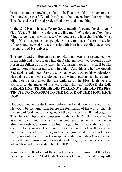bring to them the knowledge of all truth. That it would bring back to them the knowledge that HE had already told them, even from the beginning. Thus he said that He had predestined them to do one thing.

In the 82nd Psalm, it says: Ye are Gods, and all of you are the children of God. Ye are Elohim, why do you die like men? Why do you allow these things to come upon your race, when you are the household of the Most High. You are a predestined people, who are to arise and take possession of the kingdom. And you are to rule with Him in the endless ages, over the entirety of His universe.

This, my friends, is Human's destiny. Hu-man means spirit man, begotten in the spirit and incorporated into the flesh, and these two become as one. For in the fullness of time when the Christ shall appear, we shall be like him in thought and in mind, and in action. And this is what the Apostle Paul said he really look forward to, when he could put on his whole glory. He said he did not want to die but he did want to put on his whole aura of light. For he also knew that the children of the Most High were to conform to the image of the Most High himself. **THOSE HE DID PREDESTINE, THOSE HE DID FOREKNOW, HE DID PREDES-TINATE TO CONFORM TO THE IMAGE OF THE MOST HIGH GOD**.

Now; God made the declaration before the foundation of the world that He would be the lamb slain before the foundation of the world. That He the lamb of God would emerge out of the very race that HE had begotten. That He would become a completion of that cycle. And HE would not be ashamed to call you his kinsman, his brethren, after the spirit as well as after the flesh. Conforming to his image, which means that you can conform to the areas of his thoughts, his concepts and ideas. It means that you can conform to his image, and the background of this is that He said that you would conform to his image as to the time when Christ walked the earth, and returned in his majesty and his glory. We understand that when Christ returns we shall be like **HIM**.

Sometimes the theology of the churches do not recognize that they have been begotten by the Most High. They do not recognize what the Apostle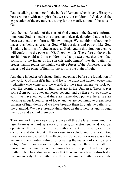Paul is talking about here. In the book of Romans when it says, His spirit bears witness with our spirit that we are the children of God. And the expectation of the creature is waiting for the manifestation of the sons of God.

And the manifestation of the sons of God comes in the day of conformation. And God has made this a great and clear declaration that you have been destined to conform to His own image. We can think of nothing in majesty as being as great as God. With passions and powers like God. Thinking in forms of righteousness as God. And in this situation then we will conform to the pattern of God's own words. There fore to those who are his household and his children, he has predestined that they shall conform to the image of his son (his embodiment) into that pattern of predestination roams the mighty creative forces of the Universe, rose the majesty of the plane of light for the spirit is the plain of light.

And there in bodies of spiritual light you existed before the foundation of the world. God himself is light and He is the Light that lighteth every man (Adamite) who came into the world. By the same pattern we look out over the cosmic planes of light that are in the Universe. These waves come from out of outer universes beyond, and as these waves come to earth, we have learned that there are tremendous powers there. We are working in our laboratories of today and we are beginning to break these patterns of light down and we have brought them through the patterns of the diamond. We have brought them through the Emeralds and through the Ruby and each of them down.

They are working in a new way and we call this the laser beam. And this laser beam is as hard as a rock or a surgical instrument. And you can operate on the eye or on the eye with such a knife in surgery. It can consume and disintegrate. It can cause to explode and to vibrate. And these waves are caused to be reflected and deflected in various ways. And we are in the infantry realm of discovering the majesty of such patterns of light. We discover also that light is operating from the cosmic patterns, through out the universe, on the human body to keep the heart beating in rhythm. They have discovered now that there are laser beams absorbed in the human body like a rhythm, and they maintain the rhythm waves of the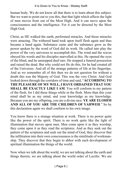human body. We do not know all that there is to learn about this subject. But we want to point out to you this, that that light which affects the light of men moves from out of the Most High. And it can move upon the consciousness and the intelligence. For it can be directed by the Most High God.

Christ, as HE walked the earth, performed miracles. And those miracles were amazing. The withered hand took upon itself flesh again and thus became a hand again. Substance came and the substance grew as the power spoken by the word of God did its work. He called into play the power of the very universes to accomplish this. The wind and the waves obeyed his words and his disciples marvelled at this. He opened the eyes of the blind, and he unstopped deaf ears. He stopped a funeral possession and raised the dead. But why could not He do this, for he had created all of the Universes. And all of the strange patterns of life at his fingertips. And as we remember all of this then we do not question for without a doubt this was the Majesty of God. This was the very Christ. And God looked down through the corridors of time and said, "**ACCORDING TO THE PLEASURE OF MY WILL, I HAVE ORDAINED THAT YOU SHALL BE EXACTLY LIKE I AM.** You will conform to my pattern of the flesh, for I did these things while in the flesh. More than this your mind shall be as my mind, and your knowledge as my knowledge. Because you are my offspring, you are a divine race. **YE ARE ELOHIM AND ALL OF YOU ARE THE CHILDREN OF YAHWEH**." So by this declaration again we shall conform to his own image.

You know there is a strange situation at work. There is no power quite like the power of the spirit. There is no work quite like the light of illumination that moves upon men. Men come upon it as they worship, they come upon it as they read the scriptures. And as they seek out the pattern of the scriptures and seek out the mind of God, they discover that the infiltration into their own consciousness is the similitude of workmanship. They discover that they begin to abhor with each development of spiritual illumination the things of the world.

Now when we talk about the world, we are not talking about the earth and things therein, we are talking about the world order of Lucifer. We are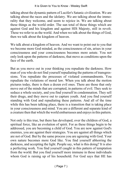talking about the dynamic pattern of Lucifer's Satanic civilization. We are talking about the races and the idolatry. We are talking about the immorality that they welcome, and seem to rejoice in. We are talking about these things as the world order. The sun total of those things which are against God and his kingdom and against HIS Majesty, still in revolt. These we refer to as the world. And when we talk about the things of God, then we talk about the kingdom of heaven.

We talk about a kingdom of heaven. And we want to point out to you that we become more God minded, as the consciousness of sin, arises in your consciousness and your consciousness becomes more astute. You not only look upon the patterns of darkness, that move as conditions upon the face of the earth.

But as you move out in your thinking you repudiate the darkness. How man of you who do not find yourself repudiating the patterns of transgressions. You repudiate the processes of violated commandments. You repudiate the violations of moral law. When you talk about the motion pictures today, there is then a dozen evil ones. There are those that only move out of the minds that are corrupted, in patterns of evil. They seek to seduce a whole society, and you find yourself in condemnation. They sell their drugs, and they move out to capture youth. And you find yourself standing with God and repudiating these patterns. And all of the time while this has been talking place, there is a transition that is taking place in your consciousness and mind. You are a different and separate kind of a creature then that which the world embarrasses and enjoys in this pattern.

Not only is this true, but there has developed, over the children of God, a spiritual force, like an evolution of spirit. For as these things begin to be addressed, you are becoming a child of God. You are now against God's enemies, you are against their strategies. You are against all things which are not of God. But by the same process you are agreeing with God. Your own nature becomes more God like. You find yourself abhorring the darkness, and accepting the light. People say, what is this doing? It is also a perfecting work. You find yourself caught in this pattern of temptation from the world. But you find yourself more immune in those individuals whom God is raising up of his household. For God says that HE has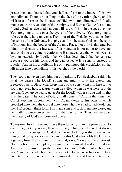predestined and decreed that you shall conform to the image of his own embodiment. There is no calling on the face of the earth higher than this wish to conform to the likeness of HIS own embodiment. And finally moves on to the revelation of the Almighty and Eternal God. After all, my friends, God has declared that you will rule with him in the ages to come. You are going to rule over the cycles of the universe. You are going to rule over the whole universe. From out of the Pleiades you came, from the centre of the Universe, into physical form because God sent the spirit of His sons into the bodies of the Adamic Race. Not only is this true, but think, my friends, the increase of his kingdom is not going to have any end. And you are going to conform to His image. And that which was lost by your seduction by Lucifer, then God has determined shall be restored. Because you are his sons, and he cannot leave His sons in custody of Lucifer. And in his crucifixion He only permitted this crucifixion so that HE might take upon Himself this weight of the world.

They could not even keep him out of perdition. For Beelzebub said, who is at the gates? The LORD strong and mighty is at the gates. And Beelzebub says, Oh, Lucifer keep him out, we don't want him here for we could not even hold Lazarus when he called, when he was here. But the cry was Open up ye pearly gates for the LORD who is strong and mighty is at the gates 'The King of Glory shall come in.' And in that time then Christ kept his appointment with Adam down to his own time. He preached unto them the Gospel unto those whom we had called dead. And then HE brought them forth, His many sons and took them into glory, and hell hath no power over them from that day to this. Thus, we see again the majesty of God's purpose and grace.

To restore His children and make them to conform to the patterns of His own image. Oh, you say, there are many white men today that do not conform to the image of God. But I want to tell you that there is one things that today you can rejoice in. For this God who holds the Universe together, from the beginning to the end, says, 'I save to the uttermost.' Not, my friends, incomplete, but unto the uttermost. I restore, I redeem. And in all of those things the Eternal God, your Father, unto whom you say, 'Our Father which art in heaven'. Our Father who has said, I have predetermined, I have confirmed human destiny, and I have determined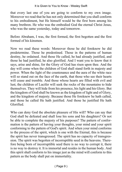that every last one of you are going to conform to my own image. Moreover we read that he has not only determined that you shall conform to his embodiment, but He himself would be the first born among his many brethren. He who was the embodied God the eternal Christ Jesus, who was the same yesterday, today and tomorrow.

Before Abraham, I was, the first formed, the first begotten and the first formed of his kinsmen.

Now we read these words: Moreover those he did foreknow he did predetermine. Those he predestined. Those in the patterns of human destiny, he ordained. And those He called, he had already justified, and those he had justified, he also glorified. And I want you to know that it says, arise and shine, for the Glory of God has risen upon thee. And the day will come when the children of God shall stand forth in majesty and power. When the light of the countenance and the aura of the white race will so stand out on the face of the earth, that those who see their hearts will cease and tremble. And those whose hearts are filled with evil and lust, the children of Lucifer will seek the rocks of the mountains to hide themselves. They will hide from his presence, his light and his Glory. But the kingdom of God shall be known as the kingdom of light and of Glory, and the kingdom of majesty. Because those He foreknew he hath called, and those he called He hath justified. And those he justified He hath Glorified.

Who can deny God the absolute pleasure of His will? Who can say that God shall be defeated and shall lose his sons and his daughters? Or not be able to complete the majesty of his purposes? The pattern of conformation is the pattern of having your thoughts, your mind and your spirit conforming to the pattern of God's spirit. And when your mind conforms to the process of the spirit, which is one with the Eternal, this is because the spirit has never transgressed. The spirit has no capacity of transgression. The spirit was begotten of incorruptible seed in the heavens. Therefore being born of incorruptible seed there is no way to corrupt it, there is no way to destroy it. It is immortal and resides in the human body. And this spirit shall conform to his image just as the mind will conform to this pattern as the body shall put on immortality.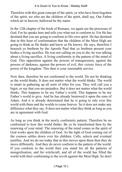Therefore with this great concept of the spirit, ye who have been begotten of the spirit, we who are the children of the spirit, shall say, Our Father which art in heaven, hallowed be thy name.

In the 12th chapter of the book of Romans, we again see the processes of God. For he speaks here and tells you what not to conform to. For He has destined that you are going to conform to His own spirit. He has destined that in this hour of conformation that the children of the Most High are going to think as He thinks and know as He knows. He says, therefore I beseech ye brethren by the Apostle Paul that ye brethren present your bodies a living sacrifice. He was not calling on you to die, he was talking about a living sacrifice. A living conformity to the pattern of the mind of God. This opposition against the powers of transgression, against the powers of darkness, against the powers of evil, this victory force of the power of the kingdom. This then is your reasonable service.

Now then, therefore be not conformed to the world. Do not be thinking as the world thinks. It does not matter what the world thinks. The world is smart in gathering up all sorts of titles for you. They will call you a bigot, or say that you are prejudice. But it does not matter what the world thinks. This happens to be my Father's world. This happens to be my Father's world to give. And he has already bestowed it upon the sons of Adam. And it is already determined that he is going to rule over this world with them and the worlds to come forever. So it does not make any difference what they say. It does not matter what they think as long as you are in agreement with God.

As long as you think in the newly conformity pattern. Therefore be no conformed to how this world thinks. Be ye be transformed then by the renewing of your mind. The renewing of the mind comes as the spirit of God works upon the children of God. As the light of God coming out of the cosmos settles down over his children. Calls, selects and eventual justifies. And we do see today that as this moves upon them then they do move differently. And they do never conform to the pattern of the world. If you conform to the world then you stand for all the patterns of mongrelisation, and for witchcraft, and all of the world has filled the world with their conforming to the revolt against the Most High. So don't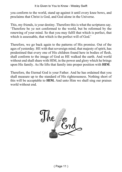#### It is Given to You to Know - Wesley Swift

you conform to the world, stand up against it until every knee bows, and proclaims that Christ is God, and God alone in the Universe.

This, my friends, is your destiny. Therefore this is what the scriptures say. 'Therefore be ye not conformed to the world, but be reformed by the renewing of your mind. So that you may fulfil that which is perfect, that which is assessable, that which is the perfect will of God.'

Therefore, we go back again to the patterns of His promise. Out of the ages of yesterday. HE with that sovereign mind, that majesty of spirit, has predestined that every one of His children found here in bodies of flesh, shall conform to the image of God as HE walked the earth. And world without end shall share with HIM, in the power and glory which he brings upon His family. As He lifts that family into proper position with **HIM**.

Therefore, the Eternal God is your Father. And he has ordained that you shall measure up to the standard of His righteousness. Nothing short of this will be acceptable to **HIM.** And unto Him we shall sing our praises world without end.